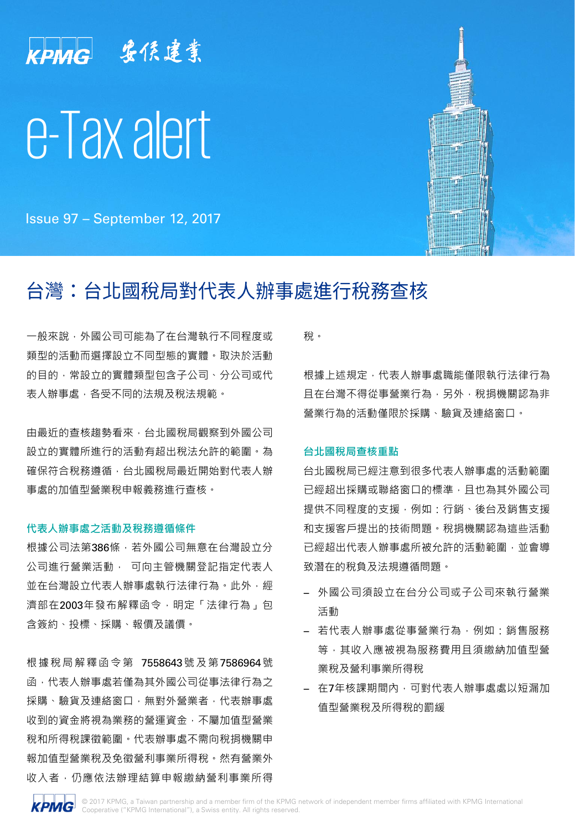

Issue 97 – September 12, 2017

# 台灣:台北國稅局對代表人辦事處谁行稅務杳核

一般來說,外國公司可能為了在台灣執行不同程度或 類型的活動而選擇設立不同型態的實體。取決於活動 的目的,常設立的實體類型包含子公司、分公司或代 表人辦事處,各受不同的法規及稅法規範。

由最近的查核趨勢看來,台北國稅局觀察到外國公司 設立的實體所進行的活動有超出稅法允許的範圍。為 確保符合稅務遵循,台北國稅局最近開始對代表人辦 事處的加值型營業稅申報義務進行查核。

#### **代表人辦事處之活動及稅務遵循條件**

根據公司法第386條,若外國公司無意在台灣設立分 公司進行營業活動, 可向主管機關登記指定代表人 並在台灣設立代表人辦事處執行法律行為。此外,經 濟部在2003年發布解釋函令,明定「法律行為」包 含簽約、投標、採購、報價及議價。

根據稅局解釋函令第 7558643號及第7586964號 函,代表人辦事處若僅為其外國公司從事法律行為之 採購、驗貨及連絡窗口,無對外營業者,代表辦事處 收到的資金將視為業務的營運資金,不屬加值型營業 稅和所得稅課徵範圍。代表辦事處不需向稅捐機關申 報加值型營業稅及免徵營利事業所得稅。然有營業外 收入者,仍應依法辦理結算申報繳納營利事業所得

稅。

根據上述規定,代表人辦事處職能僅限執行法律行為 且在台灣不得從事營業行為,另外,稅捐機關認為非 營業行為的活動僅限於採購、驗貨及連絡窗口。

#### **台北國稅局查核重點**

台北國稅局已經注意到很多代表人辦事處的活動範圍 已經超出採購或聯絡窗口的標準,且也為其外國公司 提供不同程度的支援,例如:行銷、後台及銷售支援 和支援客戶提出的技術問題。稅捐機關認為這些活動 已經超出代表人辦事處所被允許的活動範圍,並會導 致潛在的稅負及法規遵循問題。

- − 外國公司須設立在台分公司或子公司來執行營業 活動
- − 若代表人辦事處從事營業行為,例如:銷售服務 等,其收入應被視為服務費用且須繳納加值型營 業稅及營利事業所得稅
- − 在7年核課期間内,可對代表人辦事處處以短漏加 值型營業稅及所得稅的罰緩

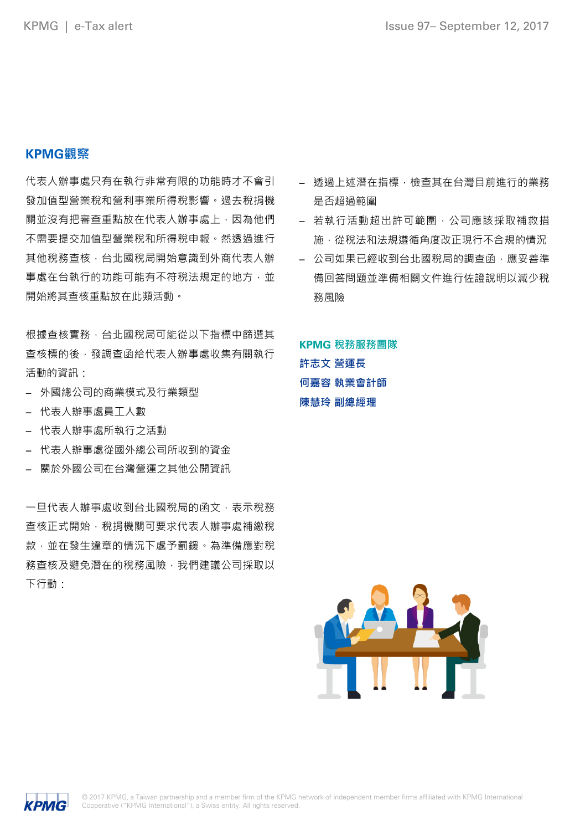### **KPMG觀察**

代表人辦事處只有在執行非常有限的功能時才不會引 發加值型營業稅和營利事業所得稅影響。過去稅捐機 關並沒有把審查重點放在代表人辦事處上,因為他們 不需要提交加值型營業稅和所得稅申報。然透過進行 其他稅務查核,台北國稅局開始意識到外商代表人辦 事處在台執行的功能可能有不符稅法規定的地方,並 開始將其查核重點放在此類活動。

根據查核實務,台北國稅局可能從以下指標中篩選其 查核標的後,發調查函給代表人辦事處收集有關執行 活動的資訊:

- − 外國總公司的商業模式及行業類型
- − 代表人辦事處員工人數
- − 代表人辦事處所執行之活動
- − 代表人辦事處從國外總公司所收到的資金
- − 關於外國公司在台灣營運之其他公開資訊

一旦代表人辦事處收到台北國稅局的函文,表示稅務 查核正式開始,稅捐機關可要求代表人辦事處補繳稅 款,並在發生違章的情況下處予罰鍰。為準備應對稅 務查核及避免潛在的稅務風險,我們建議公司採取以 下行動:

- − 透過上述潛在指標,檢查其在台灣目前進行的業務 是否超過範圍
- − 若執行活動超出許可範圍,公司應該採取補救措 施,從稅法和法規遵循角度改正現行不合規的情況
- − 公司如果已經收到台北國稅局的調查函,應妥善準 備回答問題並準備相關文件進行佐證說明以減少稅 務風險

**KPMG 稅務服務團隊 許志文 營運長 何嘉容 執業會計師 陳慧玲 副總經理**